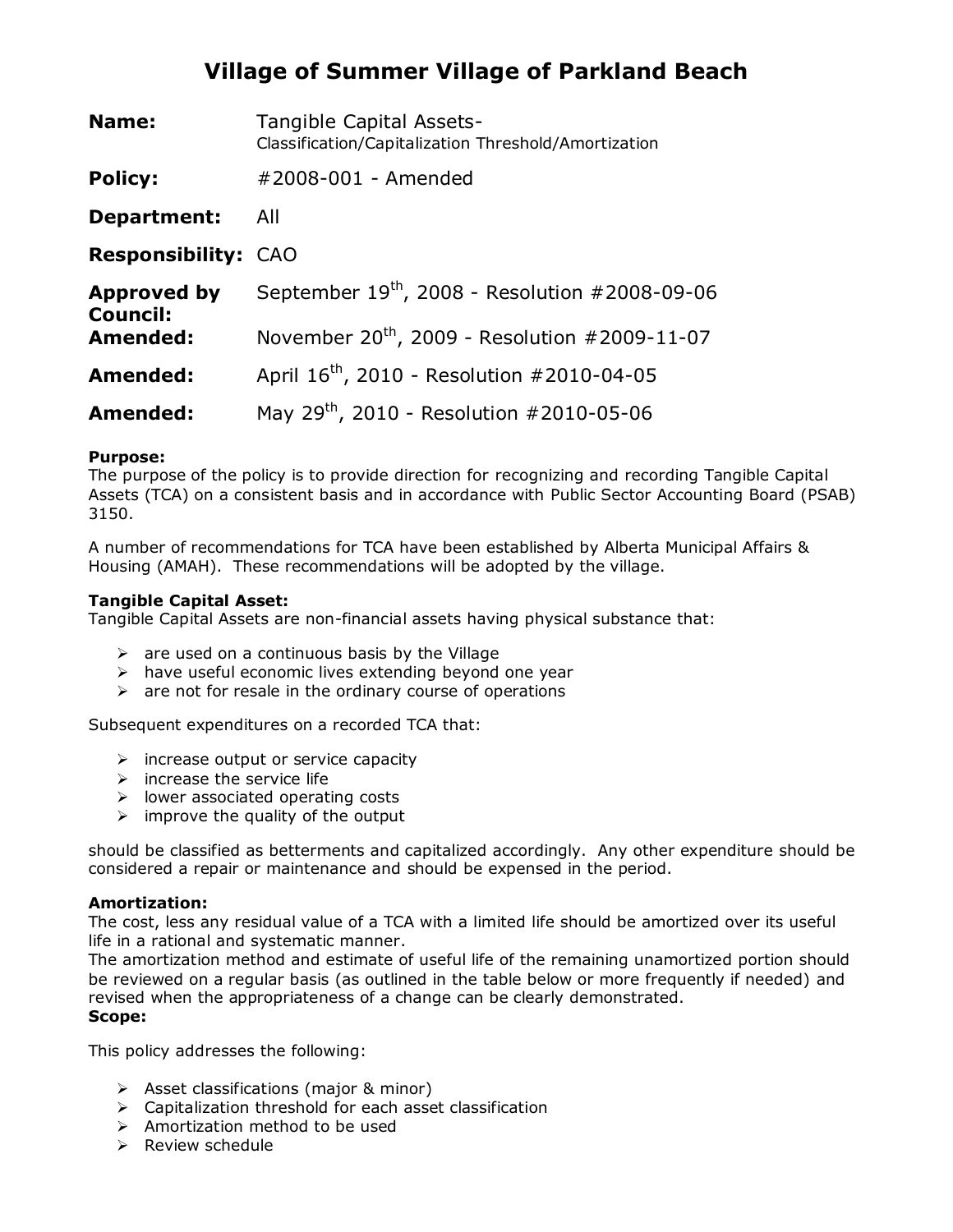# **Village of Summer Village of Parkland Beach**

| Name:                                 | Tangible Capital Assets-<br>Classification/Capitalization Threshold/Amortization |  |
|---------------------------------------|----------------------------------------------------------------------------------|--|
| <b>Policy:</b>                        | #2008-001 - Amended                                                              |  |
| Department:                           | All                                                                              |  |
| <b>Responsibility: CAO</b>            |                                                                                  |  |
| <b>Approved by</b><br><b>Council:</b> | September $19^{th}$ , 2008 - Resolution #2008-09-06                              |  |
| Amended:                              | November $20^{th}$ , 2009 - Resolution #2009-11-07                               |  |
| Amended:                              | April 16 <sup>th</sup> , 2010 - Resolution #2010-04-05                           |  |
| Amended:                              | May 29 <sup>th</sup> , 2010 - Resolution #2010-05-06                             |  |

### **Purpose:**

The purpose of the policy is to provide direction for recognizing and recording Tangible Capital Assets (TCA) on a consistent basis and in accordance with Public Sector Accounting Board (PSAB) 3150.

A number of recommendations for TCA have been established by Alberta Municipal Affairs & Housing (AMAH). These recommendations will be adopted by the village.

### **Tangible Capital Asset:**

Tangible Capital Assets are non-financial assets having physical substance that:

- $\triangleright$  are used on a continuous basis by the Village
- $\triangleright$  have useful economic lives extending beyond one year
- $\triangleright$  are not for resale in the ordinary course of operations

Subsequent expenditures on a recorded TCA that:

- $\triangleright$  increase output or service capacity
- $\triangleright$  increase the service life
- $\triangleright$  lower associated operating costs
- $\triangleright$  improve the quality of the output

should be classified as betterments and capitalized accordingly. Any other expenditure should be considered a repair or maintenance and should be expensed in the period.

#### **Amortization:**

The cost, less any residual value of a TCA with a limited life should be amortized over its useful life in a rational and systematic manner.

The amortization method and estimate of useful life of the remaining unamortized portion should be reviewed on a regular basis (as outlined in the table below or more frequently if needed) and revised when the appropriateness of a change can be clearly demonstrated.

## **Scope:**

This policy addresses the following:

- $\triangleright$  Asset classifications (major & minor)
- Capitalization threshold for each asset classification
- $\triangleright$  Amortization method to be used
- $\triangleright$  Review schedule